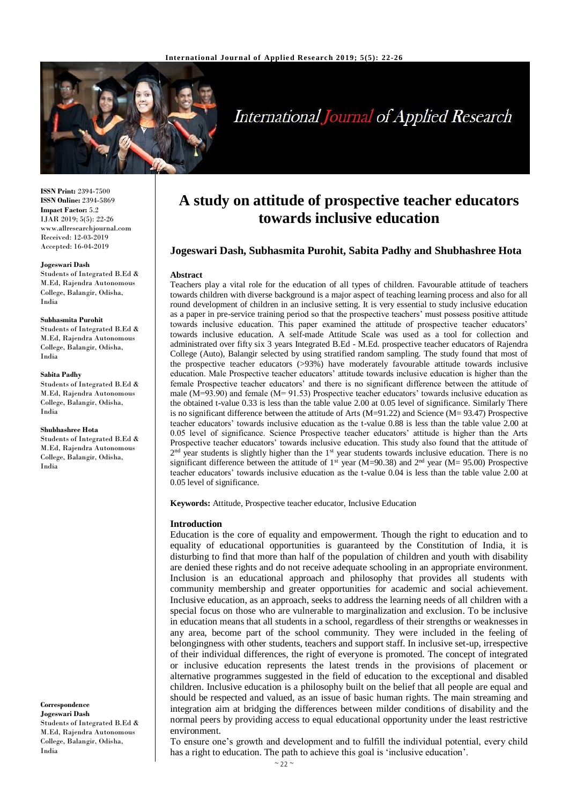

# **International Journal of Applied Research**

**ISSN Print:** 2394-7500 **ISSN Online:** 2394-5869 **Impact Factor:** 5.2 IJAR 2019; 5(5): 22-26 www.allresearchjournal.com Received: 12-03-2019 Accepted: 16-04-2019

#### **Jogeswari Dash**

Students of Integrated B.Ed & M.Ed, Rajendra Autonomous College, Balangir, Odisha, India

#### **Subhasmita Purohit**

Students of Integrated B.Ed & M.Ed, Rajendra Autonomous College, Balangir, Odisha, India

#### **Sabita Padhy**

Students of Integrated B.Ed & M.Ed, Rajendra Autonomous College, Balangir, Odisha, India

#### **Shubhashree Hota**

Students of Integrated B.Ed & M.Ed, Rajendra Autonomous College, Balangir, Odisha, India

**Correspondence Jogeswari Dash**  Students of Integrated B.Ed & M.Ed, Rajendra Autonomous College, Balangir, Odisha, India

## **A study on attitude of prospective teacher educators towards inclusive education**

## **Jogeswari Dash, Subhasmita Purohit, Sabita Padhy and Shubhashree Hota**

#### **Abstract**

Teachers play a vital role for the education of all types of children. Favourable attitude of teachers towards children with diverse background is a major aspect of teaching learning process and also for all round development of children in an inclusive setting. It is very essential to study inclusive education as a paper in pre-service training period so that the prospective teachers' must possess positive attitude towards inclusive education. This paper examined the attitude of prospective teacher educators' towards inclusive education. A self-made Attitude Scale was used as a tool for collection and administrated over fifty six 3 years Integrated B.Ed - M.Ed. prospective teacher educators of Rajendra College (Auto), Balangir selected by using stratified random sampling. The study found that most of the prospective teacher educators (>93%) have moderately favourable attitude towards inclusive education. Male Prospective teacher educators' attitude towards inclusive education is higher than the female Prospective teacher educators' and there is no significant difference between the attitude of male (M=93.90) and female (M= 91.53) Prospective teacher educators' towards inclusive education as the obtained t-value 0.33 is less than the table value 2.00 at 0.05 level of significance. Similarly There is no significant difference between the attitude of Arts (M=91.22) and Science (M= 93.47) Prospective teacher educators' towards inclusive education as the t-value 0.88 is less than the table value 2.00 at 0.05 level of significance. Science Prospective teacher educators' attitude is higher than the Arts Prospective teacher educators' towards inclusive education. This study also found that the attitude of  $2<sup>nd</sup>$  year students is slightly higher than the 1<sup>st</sup> year students towards inclusive education. There is no significant difference between the attitude of 1<sup>st</sup> year (M=90.38) and  $2<sup>nd</sup>$  year (M= 95.00) Prospective teacher educators' towards inclusive education as the t-value 0.04 is less than the table value 2.00 at 0.05 level of significance.

**Keywords:** Attitude, Prospective teacher educator, Inclusive Education

#### **Introduction**

Education is the core of equality and empowerment. Though the right to education and to equality of educational opportunities is guaranteed by the Constitution of India, it is disturbing to find that more than half of the population of children and youth with disability are denied these rights and do not receive adequate schooling in an appropriate environment. Inclusion is an educational approach and philosophy that provides all students with community membership and greater opportunities for academic and social achievement. Inclusive education, as an approach, seeks to address the learning needs of all children with a special focus on those who are vulnerable to marginalization and exclusion. To be inclusive in education means that all students in a school, regardless of their strengths or weaknesses in any area, become part of the school community. They were included in the feeling of belongingness with other students, teachers and support staff. In inclusive set-up, irrespective of their individual differences, the right of everyone is promoted. The concept of integrated or inclusive education represents the latest trends in the provisions of placement or alternative programmes suggested in the field of education to the exceptional and disabled children. Inclusive education is a philosophy built on the belief that all people are equal and should be respected and valued, as an issue of basic human rights. The main streaming and integration aim at bridging the differences between milder conditions of disability and the normal peers by providing access to equal educational opportunity under the least restrictive environment.

To ensure one's growth and development and to fulfill the individual potential, every child has a right to education. The path to achieve this goal is 'inclusive education'.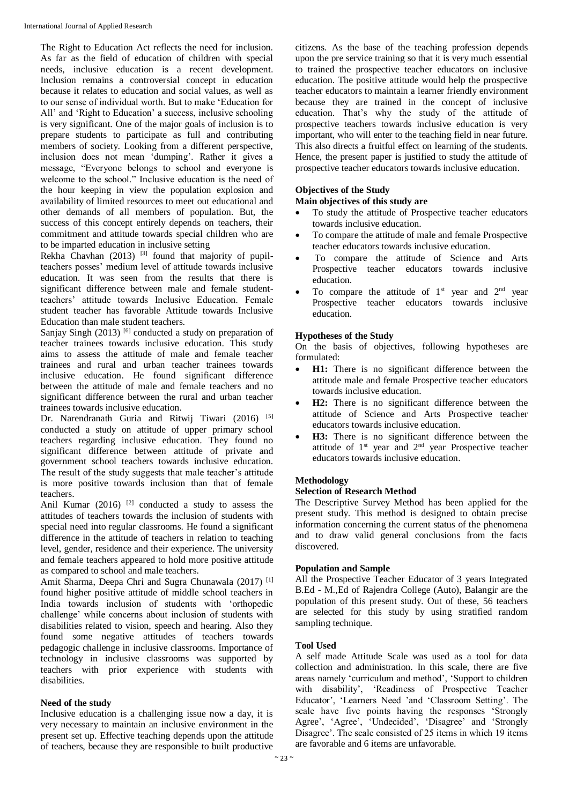The Right to Education Act reflects the need for inclusion. As far as the field of education of children with special needs, inclusive education is a recent development. Inclusion remains a controversial concept in education because it relates to education and social values, as well as to our sense of individual worth. But to make 'Education for All' and 'Right to Education' a success, inclusive schooling is very significant. One of the major goals of inclusion is to prepare students to participate as full and contributing members of society. Looking from a different perspective, inclusion does not mean 'dumping'. Rather it gives a message, "Everyone belongs to school and everyone is welcome to the school." Inclusive education is the need of the hour keeping in view the population explosion and availability of limited resources to meet out educational and other demands of all members of population. But, the success of this concept entirely depends on teachers, their commitment and attitude towards special children who are to be imparted education in inclusive setting

Rekha Chavhan  $(2013)$ <sup>[3]</sup> found that majority of pupilteachers posses' medium level of attitude towards inclusive education. It was seen from the results that there is significant difference between male and female studentteachers' attitude towards Inclusive Education. Female student teacher has favorable Attitude towards Inclusive Education than male student teachers.

Sanjay Singh (2013)<sup>[6]</sup> conducted a study on preparation of teacher trainees towards inclusive education. This study aims to assess the attitude of male and female teacher trainees and rural and urban teacher trainees towards inclusive education. He found significant difference between the attitude of male and female teachers and no significant difference between the rural and urban teacher trainees towards inclusive education.

Dr. Narendranath Guria and Ritwij Tiwari (2016) [5] conducted a study on attitude of upper primary school teachers regarding inclusive education. They found no significant difference between attitude of private and government school teachers towards inclusive education. The result of the study suggests that male teacher's attitude is more positive towards inclusion than that of female teachers.

Anil Kumar (2016) <sup>[2]</sup> conducted a study to assess the attitudes of teachers towards the inclusion of students with special need into regular classrooms. He found a significant difference in the attitude of teachers in relation to teaching level, gender, residence and their experience. The university and female teachers appeared to hold more positive attitude as compared to school and male teachers.

Amit Sharma, Deepa Chri and Sugra Chunawala (2017) [1] found higher positive attitude of middle school teachers in India towards inclusion of students with 'orthopedic challenge' while concerns about inclusion of students with disabilities related to vision, speech and hearing. Also they found some negative attitudes of teachers towards pedagogic challenge in inclusive classrooms. Importance of technology in inclusive classrooms was supported by teachers with prior experience with students with disabilities.

## **Need of the study**

Inclusive education is a challenging issue now a day, it is very necessary to maintain an inclusive environment in the present set up. Effective teaching depends upon the attitude of teachers, because they are responsible to built productive

citizens. As the base of the teaching profession depends upon the pre service training so that it is very much essential to trained the prospective teacher educators on inclusive education. The positive attitude would help the prospective teacher educators to maintain a learner friendly environment because they are trained in the concept of inclusive education. That's why the study of the attitude of prospective teachers towards inclusive education is very important, who will enter to the teaching field in near future. This also directs a fruitful effect on learning of the students. Hence, the present paper is justified to study the attitude of prospective teacher educators towards inclusive education.

## **Objectives of the Study**

#### **Main objectives of this study are**

- To study the attitude of Prospective teacher educators towards inclusive education.
- To compare the attitude of male and female Prospective teacher educators towards inclusive education.
- To compare the attitude of Science and Arts Prospective teacher educators towards inclusive education.
- To compare the attitude of  $1<sup>st</sup>$  year and  $2<sup>nd</sup>$  year Prospective teacher educators towards inclusive education.

## **Hypotheses of the Study**

On the basis of objectives, following hypotheses are formulated:

- **H1:** There is no significant difference between the attitude male and female Prospective teacher educators towards inclusive education.
- **H2:** There is no significant difference between the attitude of Science and Arts Prospective teacher educators towards inclusive education.
- **H3:** There is no significant difference between the attitude of  $1<sup>st</sup>$  year and  $2<sup>nd</sup>$  year Prospective teacher educators towards inclusive education.

## **Methodology**

## **Selection of Research Method**

The Descriptive Survey Method has been applied for the present study. This method is designed to obtain precise information concerning the current status of the phenomena and to draw valid general conclusions from the facts discovered.

## **Population and Sample**

All the Prospective Teacher Educator of 3 years Integrated B.Ed - M.,Ed of Rajendra College (Auto), Balangir are the population of this present study. Out of these, 56 teachers are selected for this study by using stratified random sampling technique.

## **Tool Used**

A self made Attitude Scale was used as a tool for data collection and administration. In this scale, there are five areas namely 'curriculum and method', 'Support to children with disability', 'Readiness of Prospective Teacher Educator', 'Learners Need 'and 'Classroom Setting'. The scale have five points having the responses 'Strongly Agree', 'Agree', 'Undecided', 'Disagree' and 'Strongly Disagree'. The scale consisted of 25 items in which 19 items are favorable and 6 items are unfavorable.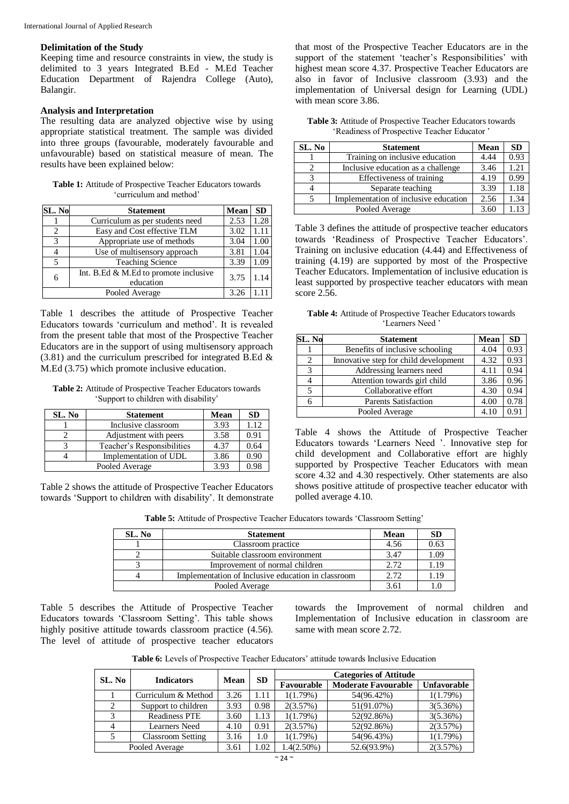#### **Delimitation of the Study**

Keeping time and resource constraints in view, the study is delimited to 3 years Integrated B.Ed - M.Ed Teacher Education Department of Rajendra College (Auto), Balangir.

#### **Analysis and Interpretation**

The resulting data are analyzed objective wise by using appropriate statistical treatment. The sample was divided into three groups (favourable, moderately favourable and unfavourable) based on statistical measure of mean. The results have been explained below:

| <b>Table 1:</b> Attitude of Prospective Teacher Educators towards |
|-------------------------------------------------------------------|
| curriculum and method'                                            |

| <b>SL. No</b>  | <b>Statement</b>                | <b>Mean</b> | <b>SD</b> |
|----------------|---------------------------------|-------------|-----------|
|                | Curriculum as per students need | 2.53        | 1.28      |
| $\mathfrak{D}$ | Easy and Cost effective TLM     | 3.02        | 1.11      |
| $\mathcal{R}$  | Appropriate use of methods      | 3.04        | 1.00      |
|                | Use of multisensory approach    | 3.81        | 1.04      |
| 5              | <b>Teaching Science</b>         | 3.39        | 1.09      |
| 6              | 3.75                            |             |           |
|                | Pooled Average                  | 3.26        |           |

Table 1 describes the attitude of Prospective Teacher Educators towards 'curriculum and method'. It is revealed from the present table that most of the Prospective Teacher Educators are in the support of using multisensory approach (3.81) and the curriculum prescribed for integrated B.Ed & M.Ed (3.75) which promote inclusive education.

**Table 2:** Attitude of Prospective Teacher Educators towards 'Support to children with disability'

| SL. No | <b>Statement</b>           | Mean | <b>SD</b> |
|--------|----------------------------|------|-----------|
|        | Inclusive classroom        | 3.93 | 1.12      |
|        | Adjustment with peers      | 3.58 | 0.91      |
|        | Teacher's Responsibilities | 4.37 | 0.64      |
|        | Implementation of UDL      | 3.86 | 0.90      |
|        | Pooled Average             | 3.93 | 0.98      |

Table 2 shows the attitude of Prospective Teacher Educators towards 'Support to children with disability'. It demonstrate

that most of the Prospective Teacher Educators are in the support of the statement 'teacher's Responsibilities' with highest mean score 4.37. Prospective Teacher Educators are also in favor of Inclusive classroom (3.93) and the implementation of Universal design for Learning (UDL) with mean score 3.86.

**Table 3:** Attitude of Prospective Teacher Educators towards 'Readiness of Prospective Teacher Educator '

| SL. No | <b>Statement</b>                      | Mean | <b>SD</b> |
|--------|---------------------------------------|------|-----------|
|        | Training on inclusive education       | 4.44 | 0.93      |
|        | Inclusive education as a challenge    | 3.46 | 1.21      |
| 3      | Effectiveness of training             | 4.19 | 0.99      |
|        | Separate teaching                     | 3.39 | 1.18      |
|        | Implementation of inclusive education | 2.56 | 1.34      |
|        | Pooled Average                        | 3.60 | 113       |

Table 3 defines the attitude of prospective teacher educators towards 'Readiness of Prospective Teacher Educators'. Training on inclusive education (4.44) and Effectiveness of training (4.19) are supported by most of the Prospective Teacher Educators. Implementation of inclusive education is least supported by prospective teacher educators with mean score 2.56.

| <b>Table 4:</b> Attitude of Prospective Teacher Educators towards |
|-------------------------------------------------------------------|
| 'Learners Need'                                                   |

| SL. No         | <b>Statement</b>                      | Mean | <b>SD</b> |
|----------------|---------------------------------------|------|-----------|
|                | Benefits of inclusive schooling       | 4.04 | 0.93      |
| $\mathfrak{D}$ | Innovative step for child development | 4.32 | 0.93      |
| 3              | Addressing learners need              | 4.11 | 0.94      |
|                | Attention towards girl child          | 3.86 | 0.96      |
| 5              | Collaborative effort                  | 4.30 | 0.94      |
| 6              | <b>Parents Satisfaction</b>           | 4.00 | 0.78      |
|                | 4.10                                  | O 91 |           |

Table 4 shows the Attitude of Prospective Teacher Educators towards 'Learners Need '. Innovative step for child development and Collaborative effort are highly supported by Prospective Teacher Educators with mean score 4.32 and 4.30 respectively. Other statements are also shows positive attitude of prospective teacher educator with polled average 4.10.

**Table 5:** Attitude of Prospective Teacher Educators towards 'Classroom Setting'

| SL. No | <b>Statement</b>                                   | Mean  | SD   |
|--------|----------------------------------------------------|-------|------|
|        | Classroom practice                                 | 4.56  | 0.63 |
|        | Suitable classroom environment                     | 3.47  | 1.09 |
|        | Improvement of normal children                     | 2.72. | 1.19 |
|        | Implementation of Inclusive education in classroom | 2.72  | 1.19 |
|        | Pooled Average                                     | 3.61  |      |

Table 5 describes the Attitude of Prospective Teacher Educators towards 'Classroom Setting'. This table shows highly positive attitude towards classroom practice  $(4.56)$ . The level of attitude of prospective teacher educators

towards the Improvement of normal children and Implementation of Inclusive education in classroom are same with mean score 2.72.

**Table 6:** Levels of Prospective Teacher Educators' attitude towards Inclusive Education

| SL. No         | <b>Indicators</b>        | <b>Mean</b> | <b>SD</b> | <b>Categories of Attitude</b> |                            |                    |  |
|----------------|--------------------------|-------------|-----------|-------------------------------|----------------------------|--------------------|--|
|                |                          |             |           | Favourable                    | <b>Moderate Favourable</b> | <b>Unfavorable</b> |  |
|                | Curriculum & Method      | 3.26        | 1.11      | 1(1.79%)                      | 54(96.42%)                 | 1(1.79%)           |  |
|                | Support to children      | 3.93        | 0.98      | 2(3.57%)                      | 51(91.07%)                 | 3(5.36%)           |  |
|                | <b>Readiness PTE</b>     | 3.60        | 1.13      | 1(1.79%)                      | 52(92.86%)                 | 3(5.36%)           |  |
|                | Learners Need            | 4.10        | 0.91      | 2(3.57%)                      | 52(92.86%)                 | 2(3.57%)           |  |
|                | <b>Classroom Setting</b> | 3.16        | 1.0       | 1(1.79%)                      | 54(96.43%)                 | 1(1.79%)           |  |
| Pooled Average |                          | 3.61        | 1.02      | $1.4(2.50\%)$                 | 52.6(93.9%)                | 2(3.57%)           |  |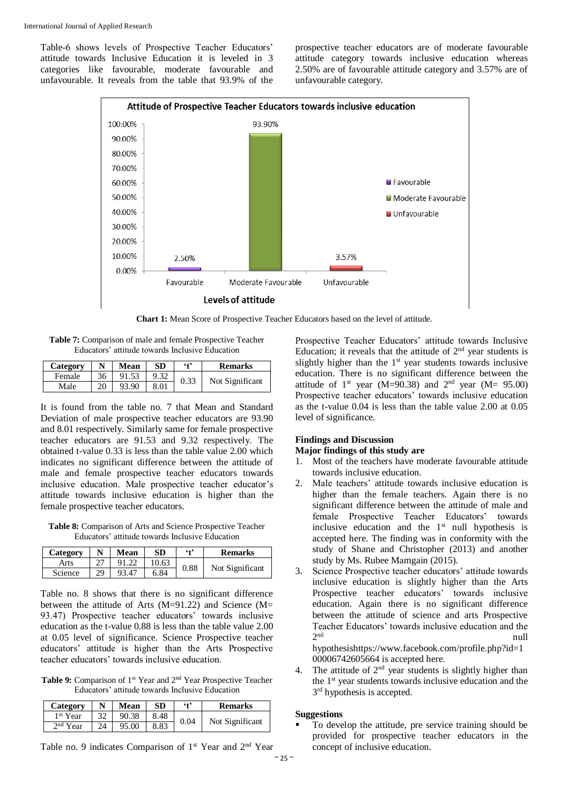Table-6 shows levels of Prospective Teacher Educators' attitude towards Inclusive Education it is leveled in 3 categories like favourable, moderate favourable and unfavourable. It reveals from the table that 93.9% of the

prospective teacher educators are of moderate favourable attitude category towards inclusive education whereas 2.50% are of favourable attitude category and 3.57% are of unfavourable category.



**Chart 1:** Mean Score of Prospective Teacher Educators based on the level of attitude.

**Table 7:** Comparison of male and female Prospective Teacher Educators' attitude towards Inclusive Education

| Category |    | <b>Mean</b> | <b>SD</b> | $6 + 2$ | <b>Remarks</b>  |
|----------|----|-------------|-----------|---------|-----------------|
| Female   | 36 | 91.53       | 9.32      | 0.33    | Not Significant |
| Male     | 20 | 93.90       | 8.01      |         |                 |

It is found from the table no. 7 that Mean and Standard Deviation of male prospective teacher educators are 93.90 and 8.01 respectively. Similarly same for female prospective teacher educators are 91.53 and 9.32 respectively. The obtained t-value 0.33 is less than the table value 2.00 which indicates no significant difference between the attitude of male and female prospective teacher educators towards inclusive education. Male prospective teacher educator's attitude towards inclusive education is higher than the female prospective teacher educators.

**Table 8:** Comparison of Arts and Science Prospective Teacher Educators' attitude towards Inclusive Education

| Category |    | Mean  | SD.   | $6 + 2$ | <b>Remarks</b>  |
|----------|----|-------|-------|---------|-----------------|
| Arts     |    |       | 10.63 | 0.88    |                 |
| Science  | 20 | 93.47 | 6.84  |         | Not Significant |

Table no. 8 shows that there is no significant difference between the attitude of Arts (M=91.22) and Science (M= 93.47) Prospective teacher educators' towards inclusive education as the t-value 0.88 is less than the table value 2.00 at 0.05 level of significance. Science Prospective teacher educators' attitude is higher than the Arts Prospective teacher educators' towards inclusive education.

Table 9: Comparison of 1<sup>st</sup> Year and 2<sup>nd</sup> Year Prospective Teacher Educators' attitude towards Inclusive Education

| Category             |        | <b>Mean</b> | <b>SD</b> | $6 + 9$ | <b>Remarks</b>  |
|----------------------|--------|-------------|-----------|---------|-----------------|
| 1 <sup>st</sup> Year |        | 90.38       | 8.48      | 0.04    | Not Significant |
| $2nd$ Year           | $2\pi$ | 95.00       | 8.83      |         |                 |

Table no. 9 indicates Comparison of  $1<sup>st</sup>$  Year and  $2<sup>nd</sup>$  Year

Prospective Teacher Educators' attitude towards Inclusive Education; it reveals that the attitude of  $2<sup>nd</sup>$  vear students is slightly higher than the  $1<sup>st</sup>$  year students towards inclusive education. There is no significant difference between the attitude of  $1<sup>st</sup>$  year (M=90.38) and  $2<sup>nd</sup>$  year (M= 95.00) Prospective teacher educators' towards inclusive education as the t-value 0.04 is less than the table value 2.00 at 0.05 level of significance.

#### **Findings and Discussion Major findings of this study are**

- 1. Most of the teachers have moderate favourable attitude towards inclusive education.
- 2. Male teachers' attitude towards inclusive education is higher than the female teachers. Again there is no significant difference between the attitude of male and female Prospective Teacher Educators' towards inclusive education and the  $1<sup>st</sup>$  null hypothesis is accepted here. The finding was in conformity with the study of Shane and Christopher (2013) and another study by Ms. Rubee Mamgain (2015).
- 3. Science Prospective teacher educators' attitude towards inclusive education is slightly higher than the Arts Prospective teacher educators' towards inclusive education. Again there is no significant difference between the attitude of science and arts Prospective Teacher Educators' towards inclusive education and the  $2<sub>nd</sub>$ nd null null and  $\lambda$  null  $\lambda$  null  $\lambda$  null  $\lambda$  null  $\lambda$  null  $\lambda$  null  $\lambda$  null  $\lambda$  null  $\lambda$  null  $\lambda$  null  $\lambda$  null  $\lambda$  null  $\lambda$  null  $\lambda$  null  $\lambda$  null  $\lambda$  null  $\lambda$  null  $\lambda$  null  $\lambda$  null  $\lambda$  null  $\lambda$  hypothesishttps://www.facebook.com/profile.php?id=1 00006742605664 is accepted here.

4. The attitude of  $2<sup>nd</sup>$  year students is slightly higher than the  $1<sup>st</sup>$  year students towards inclusive education and the 3<sup>rd</sup> hypothesis is accepted.

#### **Suggestions**

 To develop the attitude, pre service training should be provided for prospective teacher educators in the concept of inclusive education.